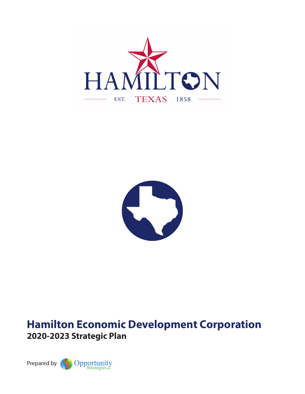



# **Hamilton Economic Development Corporation 2020-2023 Strategic Plan**

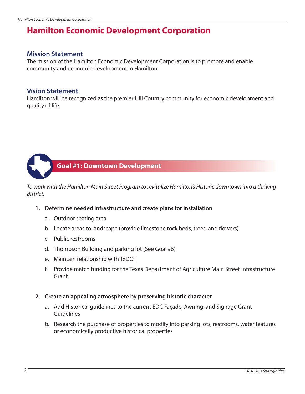# **Hamilton Economic Development Corporation**

## **Mission Statement**

The mission of the Hamilton Economic Development Corporation is to promote and enable community and economic development in Hamilton.

## **Vision Statement**

Hamilton will be recognized as the premier Hill Country community for economic development and quality of life.

# **Goal #1: Downtown Development**

*To work with the Hamilton Main Street Program to revitalize Hamilton's Historic downtown into a thriving district.*

- **1. Determine needed infrastructure and create plans for installation**
	- a. Outdoor seating area
	- b. Locate areas to landscape (provide limestone rock beds, trees, and flowers)
	- c. Public restrooms
	- d. Thompson Building and parking lot (See Goal #6)
	- e. Maintain relationship with TxDOT
	- f. Provide match funding for the Texas Department of Agriculture Main Street Infrastructure Grant
- **2. Create an appealing atmosphere by preserving historic character**
	- a. Add Historical guidelines to the current EDC Façade, Awning, and Signage Grant Guidelines
	- b. Research the purchase of properties to modify into parking lots, restrooms, water features or economically productive historical properties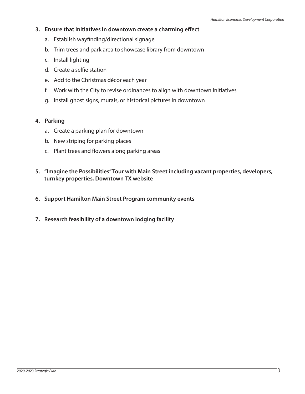- **3. Ensure that initiatives in downtown create a charming effect**
	- a. Establish wayfinding/directional signage
	- b. Trim trees and park area to showcase library from downtown
	- c. Install lighting
	- d. Create a selfie station
	- e. Add to the Christmas décor each year
	- f. Work with the City to revise ordinances to align with downtown initiatives
	- g. Install ghost signs, murals, or historical pictures in downtown

#### **4. Parking**

- a. Create a parking plan for downtown
- b. New striping for parking places
- c. Plant trees and flowers along parking areas
- **5. "Imagine the Possibilities" Tour with Main Street including vacant properties, developers, turnkey properties, Downtown TX website**
- **6. Support Hamilton Main Street Program community events**
- **7. Research feasibility of a downtown lodging facility**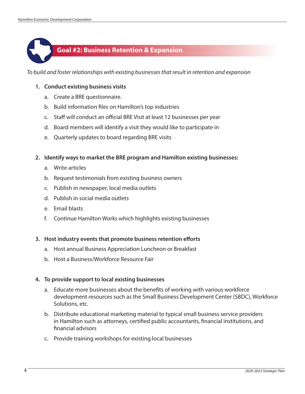

*To build and foster relationships with existing businesses that result in retention and expansion*

#### **1. Conduct existing business visits**

- a. Create a BRE questionnaire.
- b. Build information files on Hamilton's top industries
- c. Staff will conduct an official BRE Visit at least 12 businesses per year
- d. Board members will identify a visit they would like to participate in
- e. Quarterly updates to board regarding BRE visits

#### **2. Identify ways to market the BRE program and Hamilton existing businesses:**

- a. Write articles
- b. Request testimonials from existing business owners
- c. Publish in newspaper, local media outlets
- d. Publish in social media outlets
- e. Email blasts
- f. Continue Hamilton Works which highlights existing businesses

#### **3. Host industry events that promote business retention efforts**

- a. Host annual Business Appreciation Luncheon or Breakfast
- b. Host a Business/Workforce Resource Fair

#### **4. To provide support to local existing businesses**

- a. Educate more businesses about the benefits of working with various workforce development resources such as the Small Business Development Center (SBDC), Workforce Solutions, etc.
- b. Distribute educational marketing material to typical small business service providers in Hamilton such as attorneys, certified public accountants, financial institutions, and financial advisors
- c. Provide training workshops for existing local businesses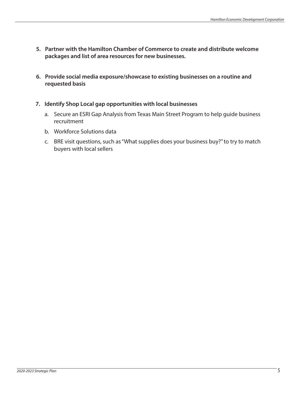- **5. Partner with the Hamilton Chamber of Commerce to create and distribute welcome packages and list of area resources for new businesses.**
- **6. Provide social media exposure/showcase to existing businesses on a routine and requested basis**
- **7. Identify Shop Local gap opportunities with local businesses**
	- a. Secure an ESRI Gap Analysis from Texas Main Street Program to help guide business recruitment
	- b. Workforce Solutions data
	- c. BRE visit questions, such as "What supplies does your business buy?" to try to match buyers with local sellers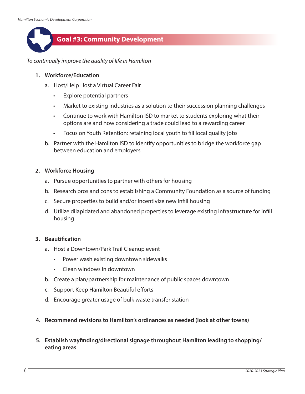

*To continually improve the quality of life in Hamilton*

- **1. Workforce/Education**
	- a. Host/Help Host a Virtual Career Fair
		- Explore potential partners
		- Market to existing industries as a solution to their succession planning challenges
		- Continue to work with Hamilton ISD to market to students exploring what their options are and how considering a trade could lead to a rewarding career
		- Focus on Youth Retention: retaining local youth to fill local quality jobs
	- b. Partner with the Hamilton ISD to identify opportunities to bridge the workforce gap between education and employers

#### **2. Workforce Housing**

- a. Pursue opportunities to partner with others for housing
- b. Research pros and cons to establishing a Community Foundation as a source of funding
- c. Secure properties to build and/or incentivize new infill housing
- d. Utilize dilapidated and abandoned properties to leverage existing infrastructure for infill housing

#### **3. Beautification**

- a. Host a Downtown/Park Trail Cleanup event
	- Power wash existing downtown sidewalks
	- Clean windows in downtown
- b. Create a plan/partnership for maintenance of public spaces downtown
- c. Support Keep Hamilton Beautiful efforts
- d. Encourage greater usage of bulk waste transfer station
- **4. Recommend revisions to Hamilton's ordinances as needed (look at other towns)**
- **5. Establish wayfinding/directional signage throughout Hamilton leading to shopping/ eating areas**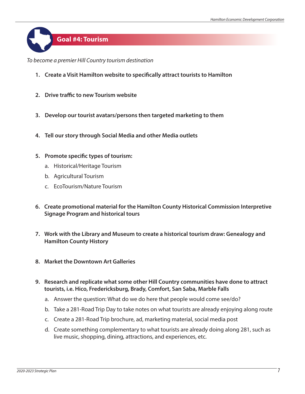# **Goal #4: Tourism**

*To become a premier Hill Country tourism destination*

- **1. Create a Visit Hamilton website to specifically attract tourists to Hamilton**
- **2. Drive traffic to new Tourism website**
- **3. Develop our tourist avatars/persons then targeted marketing to them**
- **4. Tell our story through Social Media and other Media outlets**
- **5. Promote specific types of tourism:**
	- a. Historical/Heritage Tourism
	- b. Agricultural Tourism
	- c. EcoTourism/Nature Tourism
- **6. Create promotional material for the Hamilton County Historical Commission Interpretive Signage Program and historical tours**
- **7. Work with the Library and Museum to create a historical tourism draw: Genealogy and Hamilton County History**
- **8. Market the Downtown Art Galleries**
- **9. Research and replicate what some other Hill Country communities have done to attract tourists, i.e. Hico, Fredericksburg, Brady, Comfort, San Saba, Marble Falls**
	- a. Answer the question: What do we do here that people would come see/do?
	- b. Take a 281-Road Trip Day to take notes on what tourists are already enjoying along route
	- c. Create a 281-Road Trip brochure, ad, marketing material, social media post
	- d. Create something complementary to what tourists are already doing along 281, such as live music, shopping, dining, attractions, and experiences, etc.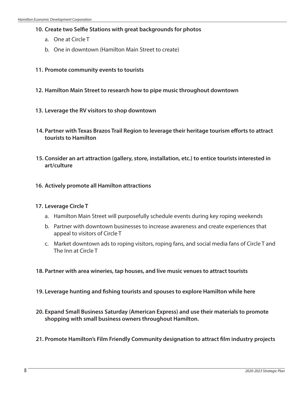#### **10. Create two Selfie Stations with great backgrounds for photos**

- a. One at Circle T
- b. One in downtown (Hamilton Main Street to create)
- **11. Promote community events to tourists**
- **12. Hamilton Main Street to research how to pipe music throughout downtown**
- **13. Leverage the RV visitors to shop downtown**
- **14. Partner with Texas Brazos Trail Region to leverage their heritage tourism efforts to attract tourists to Hamilton**
- **15. Consider an art attraction (gallery, store, installation, etc.) to entice tourists interested in art/culture**
- **16. Actively promote all Hamilton attractions**

#### **17. Leverage Circle T**

- a. Hamilton Main Street will purposefully schedule events during key roping weekends
- b. Partner with downtown businesses to increase awareness and create experiences that appeal to visitors of Circle T
- c. Market downtown ads to roping visitors, roping fans, and social media fans of Circle T and The Inn at Circle T
- **18. Partner with area wineries, tap houses, and live music venues to attract tourists**
- **19. Leverage hunting and fishing tourists and spouses to explore Hamilton while here**
- **20. Expand Small Business Saturday (American Express) and use their materials to promote shopping with small business owners throughout Hamilton.**
- **21. Promote Hamilton's Film Friendly Community designation to attract film industry projects**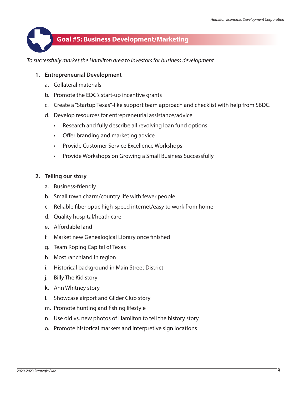

*To successfully market the Hamilton area to investors for business development* 

### **1. Entrepreneurial Development**

- a. Collateral materials
- b. Promote the EDC's start-up incentive grants
- c. Create a "Startup Texas"-like support team approach and checklist with help from SBDC.
- d. Develop resources for entrepreneurial assistance/advice
	- Research and fully describe all revolving loan fund options
	- Offer branding and marketing advice
	- Provide Customer Service Excellence Workshops
	- Provide Workshops on Growing a Small Business Successfully

### **2. Telling our story**

- a. Business-friendly
- b. Small town charm/country life with fewer people
- c. Reliable fiber optic high-speed internet/easy to work from home
- d. Quality hospital/heath care
- e. Affordable land
- f. Market new Genealogical Library once finished
- g. Team Roping Capital of Texas
- h. Most ranchland in region
- i. Historical background in Main Street District
- j. Billy The Kid story
- k. Ann Whitney story
- l. Showcase airport and Glider Club story
- m. Promote hunting and fishing lifestyle
- n. Use old vs. new photos of Hamilton to tell the history story
- o. Promote historical markers and interpretive sign locations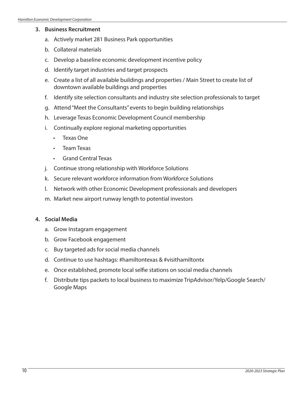#### **3. Business Recruitment**

- a. Actively market 281 Business Park opportunities
- b. Collateral materials
- c. Develop a baseline economic development incentive policy
- d. Identify target industries and target prospects
- e. Create a list of all available buildings and properties / Main Street to create list of downtown available buildings and properties
- f. Identify site selection consultants and industry site selection professionals to target
- g. Attend "Meet the Consultants" events to begin building relationships
- h. Leverage Texas Economic Development Council membership
- i. Continually explore regional marketing opportunities
	- Texas One
	- Team Texas
	- Grand Central Texas
- j. Continue strong relationship with Workforce Solutions
- k. Secure relevant workforce information from Workforce Solutions
- l. Network with other Economic Development professionals and developers
- m. Market new airport runway length to potential investors

#### **4. Social Media**

- a. Grow Instagram engagement
- b. Grow Facebook engagement
- c. Buy targeted ads for social media channels
- d. Continue to use hashtags: #hamiltontexas & #visithamiltontx
- e. Once established, promote local selfie stations on social media channels
- f. Distribute tips packets to local business to maximize TripAdvisor/Yelp/Google Search/ Google Maps